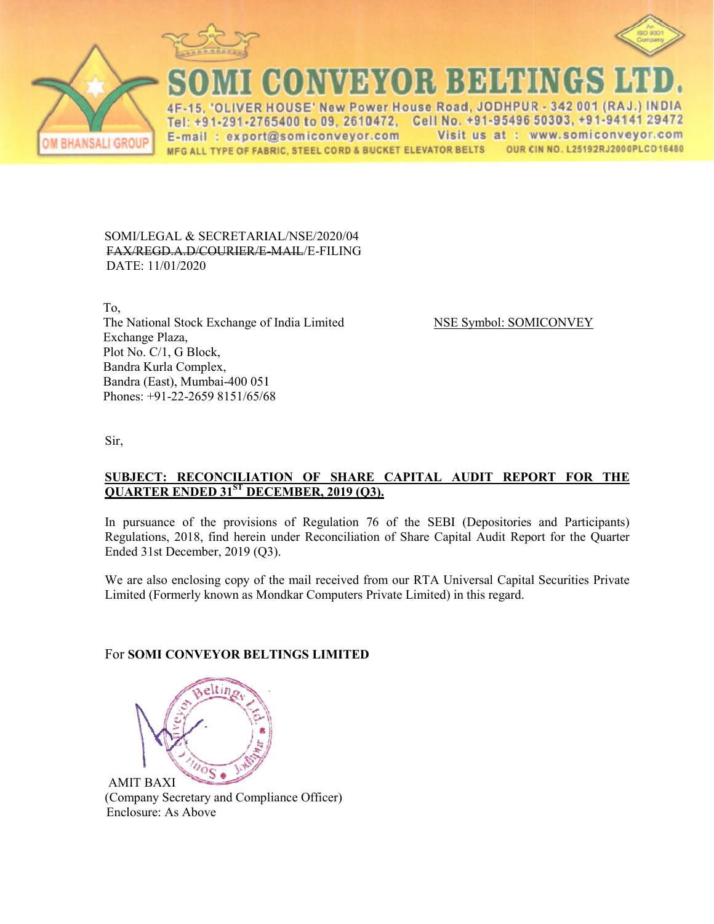





CONVEYOR BEHEN

IVER HOUSE' New Power House Road, JODHPUR - 342 001 (RAJ.) INDIA Cell No. +91-95496 50303, +91-94141 29472 Tel: +91-291-2765400 to 09, 2610472, E-mail: export@somiconveyor.com Visit us at : www.somiconveyor.com MFG ALL TYPE OF FABRIC, STEEL CORD & BUCKET ELEVATOR BELTS OUR CIN NO. L25192RJ2000PLCO16480

#### SOMI/LEGAL & SECRETARIAL/NSE/2020/04 FAX/REGD.A.D/COURIER/E R/E-MAIL/E-FILING DATE: 11/01/2020

 To, The National Stock Exchange of I Exchange Plaza, Plot No. C/1, G Block, Bandra Kurla Complex, Bandra (East), Mumbai-400 051 0 051 Phones: +91-22-2659 8151/65/68

ge of India Limited NSE Symbol: SOMICONVEY

Sir,

## **<u>SUBJECT: RECONCILIATION OF SHARE CAPITAL AUDIT REPORT FOR THE</u> QUARTER ENDED 31ST DECE DECEMBER, 2019 (Q3).**

In pursuance of the provisions of Regulation 76 of the SEBI (Depositories and Participants) Regulations, 2018, find herein under Reconciliation of Share Capital Audit Report for the Quarter Ended 31st December, 2019 (Q3).

We are also enclosing copy of the mail received from our RTA Universal Capital Securities Private Limited (Formerly known as Mondkar Computers Private Limited) in this regard.

# For **SOMI CONVEYOR BELT BELTINGS LIMITED**



AMIT BAXI (Company Secretary and Compliance Officer) Enclosure: As Above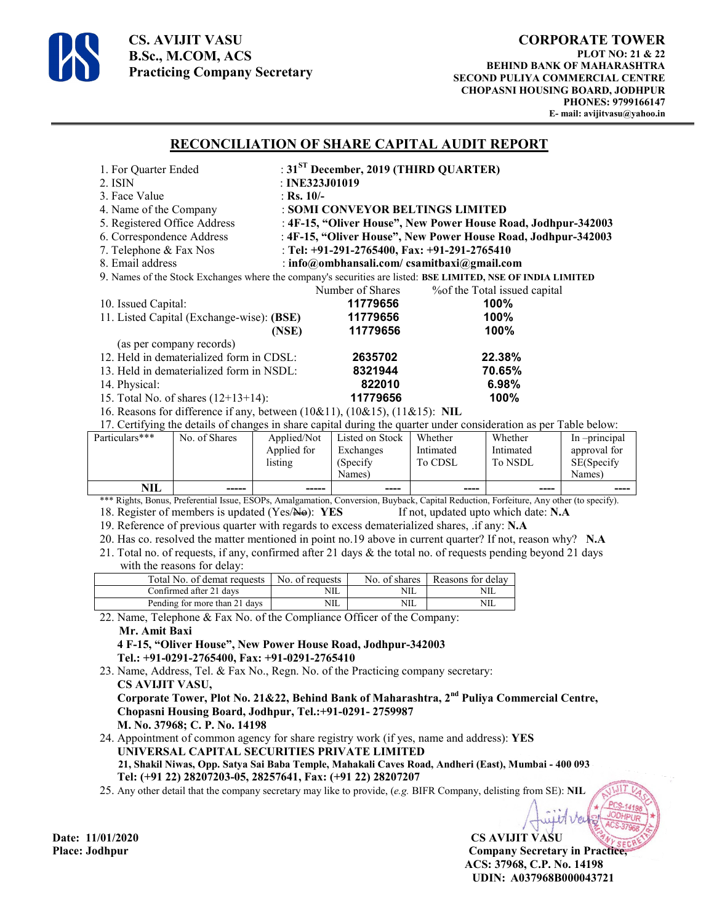

**CS. AVIJIT VASU B.Sc., M.COM, ACS Practicing Company Secretary** 

### **RECONCILIATION OF SHARE CAPITAL AUDIT REPORT**

| 1. For Quarter Ended                                                                                             |                                                               | : $31ST$ December, 2019 (THIRD QUARTER) |                                   |  |  |
|------------------------------------------------------------------------------------------------------------------|---------------------------------------------------------------|-----------------------------------------|-----------------------------------|--|--|
| 2. ISIN                                                                                                          | : INE323J01019                                                |                                         |                                   |  |  |
| 3. Face Value                                                                                                    | : Rs. $10/-$                                                  |                                         |                                   |  |  |
| 4. Name of the Company                                                                                           | : SOMI CONVEYOR BELTINGS LIMITED                              |                                         |                                   |  |  |
| 5. Registered Office Address                                                                                     | : 4F-15, "Oliver House", New Power House Road, Jodhpur-342003 |                                         |                                   |  |  |
| 6. Correspondence Address                                                                                        | : 4F-15, "Oliver House", New Power House Road, Jodhpur-342003 |                                         |                                   |  |  |
| 7. Telephone & Fax Nos                                                                                           | : Tel: +91-291-2765400, Fax: +91-291-2765410                  |                                         |                                   |  |  |
| 8. Email address                                                                                                 | : info@ombhansali.com/ csamitbaxi@gmail.com                   |                                         |                                   |  |  |
| 9. Names of the Stock Exchanges where the company's securities are listed: BSE LIMITED, NSE OF INDIA LIMITED     |                                                               |                                         |                                   |  |  |
|                                                                                                                  | Number of Shares                                              |                                         | % % % of the Total issued capital |  |  |
| 10. Issued Capital:                                                                                              | 11779656                                                      |                                         | $100\%$                           |  |  |
| 11. Listed Capital (Exchange-wise): (BSE)                                                                        | 11779656                                                      |                                         | 100%                              |  |  |
|                                                                                                                  | 11779656<br>(NSE)                                             |                                         | 100%                              |  |  |
| (as per company records)                                                                                         |                                                               |                                         |                                   |  |  |
| 12. Held in dematerialized form in CDSL:                                                                         | 2635702                                                       |                                         | 22.38%                            |  |  |
| 13. Held in dematerialized form in NSDL:                                                                         | 8321944                                                       |                                         | 70.65%                            |  |  |
| 14. Physical:                                                                                                    |                                                               | 822010                                  | 6.98%                             |  |  |
| 15. Total No. of shares $(12+13+14)$ :                                                                           |                                                               | 11779656                                | 100%                              |  |  |
| 16. Reasons for difference if any, between $(10\&11)$ , $(10\&15)$ , $(11\&15)$ : NIL                            |                                                               |                                         |                                   |  |  |
| 17. Certifying the details of changes in share canital during the quarter under consideration as ner Table below |                                                               |                                         |                                   |  |  |

In share capital during the quarter under consideration as

| Particulars*** | No. of Shares | Applied/Not | Listed on Stock | Whether   | Whether   | In -principal |
|----------------|---------------|-------------|-----------------|-----------|-----------|---------------|
|                |               | Applied for | Exchanges       | Intimated | Intimated | approval for  |
|                |               | listing     | (Specify)       | To CDSL   | To NSDL   | SE(Specify    |
|                |               |             | Names)          |           |           | Names)        |
| <b>NIL</b>     | -----         | -----       | ----            | ----      | ----      | ----          |

\*\*\* Rights, Bonus, Preferential Issue, ESOPs, Amalgamation, Conversion, Buyback, Capital Reduction, Forfeiture, Any other (to specify). 18. Register of members is updated (Yes/No): **YES** If not, updated upto which date: **N.A** 

19. Reference of previous quarter with regards to excess dematerialized shares, .if any: **N.A**

20. Has co. resolved the matter mentioned in point no.19 above in current quarter? If not, reason why? **N.A**

21. Total no. of requests, if any, confirmed after 21 days & the total no. of requests pending beyond 21 days with the reasons for delay:

| Total No. of demat requests   | No. of requests |     | No. of shares   Reasons for delay |
|-------------------------------|-----------------|-----|-----------------------------------|
| Confirmed after 21 days       | NIL             | NIL | NШ                                |
| Pending for more than 21 days | NIL             | NШ  | NШ                                |

22. Name, Telephone & Fax No. of the Compliance Officer of the Company:

#### **Mr. Amit Baxi**

 **4 F-15, "Oliver House", New Power House Road, Jodhpur-342003 Tel.: +91-0291-2765400, Fax: +91-0291-2765410**

23. Name, Address, Tel. & Fax No., Regn. No. of the Practicing company secretary:  **CS AVIJIT VASU, Corporate Tower, Plot No. 21&22, Behind Bank of Maharashtra, 2nd Puliya Commercial Centre, Chopasni Housing Board, Jodhpur, Tel.:+91-0291- 2759987** 

 **M. No. 37968; C. P. No. 14198** 

24. Appointment of common agency for share registry work (if yes, name and address): **YES UNIVERSAL CAPITAL SECURITIES PRIVATE LIMITED 21, Shakil Niwas, Opp. Satya Sai Baba Temple, Mahakali Caves Road, Andheri (East), Mumbai - 400 093** 

 **Tel: (+91 22) 28207203-05, 28257641, Fax: (+91 22) 28207207**

25. Any other detail that the company secretary may like to provide, (*e.g.* BIFR Company, delisting from SE): **NIL** 

**Date: 11/01/2020 CS AVIJIT VASU Place: Jodhpur Company Secretary in Practice, ACS: 37968, C.P. No. 14198 UDIN: A037968B000043721**